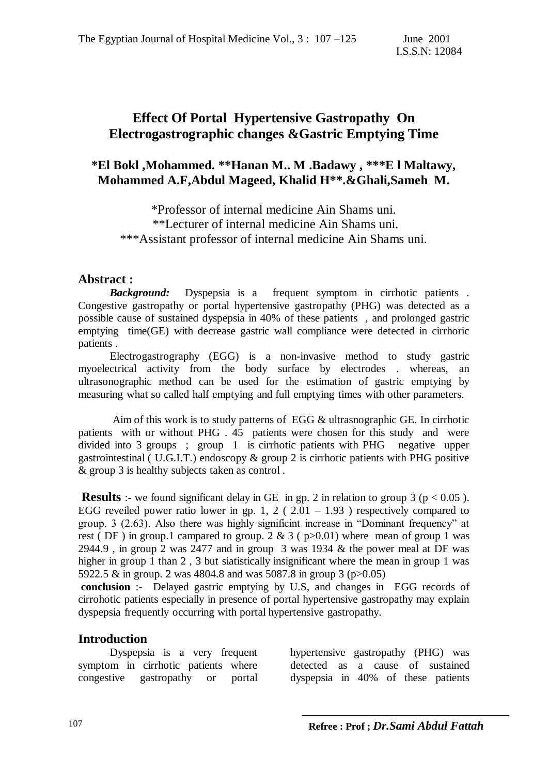# **Effect Of Portal Hypertensive Gastropathy On Electrogastrographic changes &Gastric Emptying Time**

## **\*El Bokl ,Mohammed. \*\*Hanan M.. M .Badawy , \*\*\*E l Maltawy, Mohammed A.F,Abdul Mageed, Khalid H\*\*.&Ghali,Sameh M.**

\*Professor of internal medicine Ain Shams uni. \*\*Lecturer of internal medicine Ain Shams uni. \*\*\*Assistant professor of internal medicine Ain Shams uni.

### **Abstract :**

 *Background:* Dyspepsia is a frequent symptom in cirrhotic patients . Congestive gastropathy or portal hypertensive gastropathy (PHG) was detected as a possible cause of sustained dyspepsia in 40% of these patients , and prolonged gastric emptying time(GE) with decrease gastric wall compliance were detected in cirrhoric patients .

 Electrogastrography (EGG) is a non-invasive method to study gastric myoelectrical activity from the body surface by electrodes . whereas, an ultrasonographic method can be used for the estimation of gastric emptying by measuring what so called half emptying and full emptying times with other parameters.

 Aim of this work is to study patterns of EGG & ultrasnographic GE. In cirrhotic patients with or without PHG . 45 patients were chosen for this study and were divided into 3 groups ; group 1 is cirrhotic patients with PHG negative upper gastrointestinal ( U.G.I.T.) endoscopy & group 2 is cirrhotic patients with PHG positive & group 3 is healthy subjects taken as control .

**Results** :- we found significant delay in GE in gp. 2 in relation to group 3 ( $p < 0.05$ ). EGG reveiled power ratio lower in gp. 1, 2 ( $2.01 - 1.93$ ) respectively compared to group. 3 (2.63). Also there was highly significint increase in "Dominant frequency" at rest ( DF) in group.1 campared to group.  $2 \& 3$  (  $p > 0.01$ ) where mean of group 1 was 2944.9 , in group 2 was 2477 and in group 3 was 1934  $\&$  the power meal at DF was higher in group 1 than 2, 3 but siatistically insignificant where the mean in group 1 was 5922.5 & in group. 2 was 4804.8 and was 5087.8 in group 3 (p>0.05)

**conclusion** :- Delayed gastric emptying by U.S, and changes in EGG records of cirrohotic patients especially in presence of portal hypertensive gastropathy may explain dyspepsia frequently occurring with portal hypertensive gastropathy.

### **Introduction**

 Dyspepsia is a very frequent symptom in cirrhotic patients where congestive gastropathy or portal

hypertensive gastropathy (PHG) was detected as a cause of sustained dyspepsia in 40% of these patients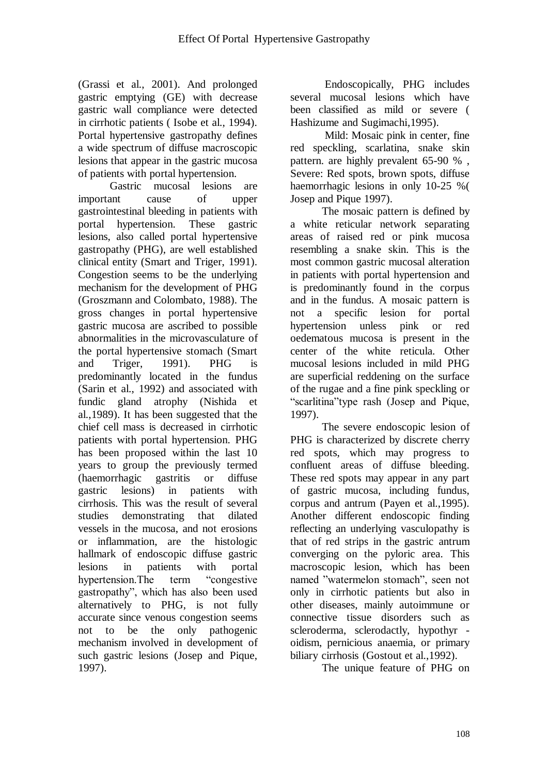(Grassi et al., 2001). And prolonged gastric emptying (GE) with decrease gastric wall compliance were detected in cirrhotic patients ( Isobe et al., 1994). Portal hypertensive gastropathy defines a wide spectrum of diffuse macroscopic lesions that appear in the gastric mucosa of patients with portal hypertension.

 Gastric mucosal lesions are important cause of upper gastrointestinal bleeding in patients with portal hypertension. These gastric lesions, also called portal hypertensive gastropathy (PHG), are well established clinical entity (Smart and Triger, 1991). Congestion seems to be the underlying mechanism for the development of PHG (Groszmann and Colombato, 1988). The gross changes in portal hypertensive gastric mucosa are ascribed to possible abnormalities in the microvasculature of the portal hypertensive stomach (Smart and Triger, 1991). PHG is predominantly located in the fundus (Sarin et al., 1992) and associated with fundic gland atrophy (Nishida et al.,1989). It has been suggested that the chief cell mass is decreased in cirrhotic patients with portal hypertension. PHG has been proposed within the last 10 years to group the previously termed (haemorrhagic gastritis or diffuse gastric lesions) in patients with cirrhosis. This was the result of several studies demonstrating that dilated vessels in the mucosa, and not erosions or inflammation, are the histologic hallmark of endoscopic diffuse gastric lesions in patients with portal hypertension.The term "congestive gastropathy", which has also been used alternatively to PHG, is not fully accurate since venous congestion seems not to be the only pathogenic mechanism involved in development of such gastric lesions (Josep and Pique, 1997).

 Endoscopically, PHG includes several mucosal lesions which have been classified as mild or severe ( Hashizume and Sugimachi,1995).

 Mild: Mosaic pink in center, fine red speckling, scarlatina, snake skin pattern. are highly prevalent 65-90 % , Severe: Red spots, brown spots, diffuse haemorrhagic lesions in only 10-25 %( Josep and Pique 1997).

 The mosaic pattern is defined by a white reticular network separating areas of raised red or pink mucosa resembling a snake skin. This is the most common gastric mucosal alteration in patients with portal hypertension and is predominantly found in the corpus and in the fundus. A mosaic pattern is not a specific lesion for portal hypertension unless pink or red oedematous mucosa is present in the center of the white reticula. Other mucosal lesions included in mild PHG are superficial reddening on the surface of the rugae and a fine pink speckling or "scarlitina"type rash (Josep and Pique, 1997).

 The severe endoscopic lesion of PHG is characterized by discrete cherry red spots, which may progress to confluent areas of diffuse bleeding. These red spots may appear in any part of gastric mucosa, including fundus, corpus and antrum (Payen et al.,1995). Another different endoscopic finding reflecting an underlying vasculopathy is that of red strips in the gastric antrum converging on the pyloric area. This macroscopic lesion, which has been named "watermelon stomach", seen not only in cirrhotic patients but also in other diseases, mainly autoimmune or connective tissue disorders such as scleroderma, sclerodactly, hypothyr oidism, pernicious anaemia, or primary biliary cirrhosis (Gostout et al.,1992).

The unique feature of PHG on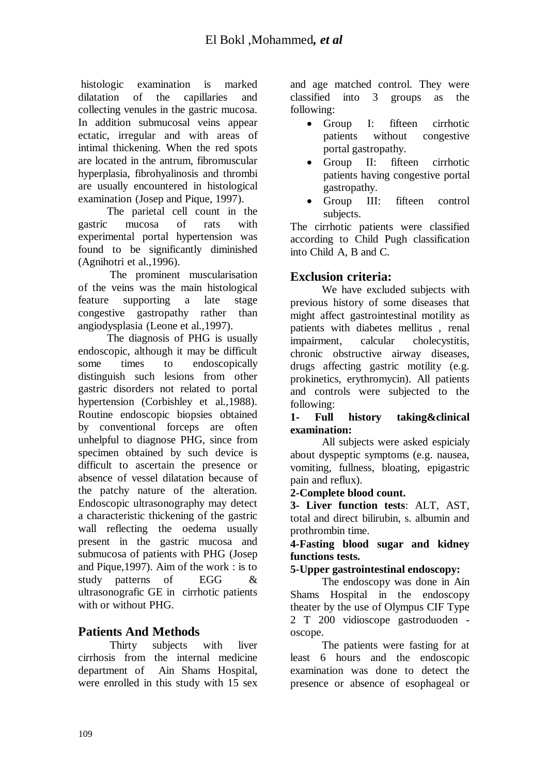histologic examination is marked dilatation of the capillaries and collecting venules in the gastric mucosa. In addition submucosal veins appear ectatic, irregular and with areas of intimal thickening. When the red spots are located in the antrum, fibromuscular hyperplasia, fibrohyalinosis and thrombi are usually encountered in histological examination (Josep and Pique, 1997).

 The parietal cell count in the gastric mucosa of rats with experimental portal hypertension was found to be significantly diminished (Agnihotri et al.,1996).

 The prominent muscularisation of the veins was the main histological feature supporting a late stage congestive gastropathy rather than angiodysplasia (Leone et al.,1997).

 The diagnosis of PHG is usually endoscopic, although it may be difficult some times to endoscopically distinguish such lesions from other gastric disorders not related to portal hypertension (Corbishley et al.,1988). Routine endoscopic biopsies obtained by conventional forceps are often unhelpful to diagnose PHG, since from specimen obtained by such device is difficult to ascertain the presence or absence of vessel dilatation because of the patchy nature of the alteration. Endoscopic ultrasonography may detect a characteristic thickening of the gastric wall reflecting the oedema usually present in the gastric mucosa and submucosa of patients with PHG (Josep and Pique,1997). Aim of the work : is to study patterns of EGG & ultrasonografic GE in cirrhotic patients with or without PHG.

# **Patients And Methods**

 Thirty subjects with liver cirrhosis from the internal medicine department of Ain Shams Hospital, were enrolled in this study with 15 sex and age matched control. They were classified into 3 groups as the following:

- Group I: fifteen cirrhotic patients without congestive portal gastropathy.
- Group II: fifteen cirrhotic patients having congestive portal gastropathy.
- Group III: fifteen control subjects.

The cirrhotic patients were classified according to Child Pugh classification into Child A, B and C.

## **Exclusion criteria:**

 We have excluded subjects with previous history of some diseases that might affect gastrointestinal motility as patients with diabetes mellitus , renal impairment, calcular cholecystitis, chronic obstructive airway diseases, drugs affecting gastric motility (e.g. prokinetics, erythromycin). All patients and controls were subjected to the following:

### **1- Full history taking&clinical examination:**

 All subjects were asked espicialy about dyspeptic symptoms (e.g. nausea, vomiting, fullness, bloating, epigastric pain and reflux).

### **2-Complete blood count.**

**3- Liver function tests**: ALT, AST, total and direct bilirubin, s. albumin and prothrombin time.

### **4-Fasting blood sugar and kidney functions tests.**

### **5-Upper gastrointestinal endoscopy:**

 The endoscopy was done in Ain Shams Hospital in the endoscopy theater by the use of Olympus CIF Type 2 T 200 vidioscope gastroduoden oscope.

 The patients were fasting for at least 6 hours and the endoscopic examination was done to detect the presence or absence of esophageal or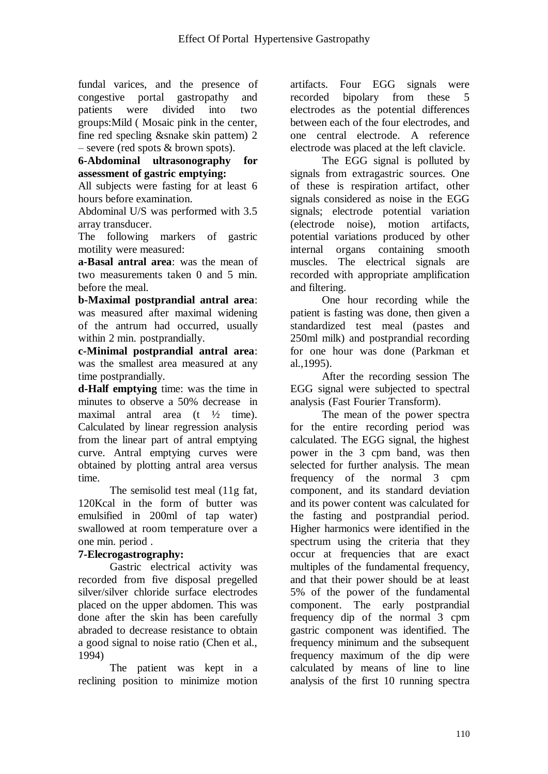fundal varices, and the presence of congestive portal gastropathy and patients were divided into two groups:Mild ( Mosaic pink in the center, fine red specling &snake skin pattem) 2 – severe (red spots & brown spots).

#### **6-Abdominal ultrasonography for assessment of gastric emptying:**

All subjects were fasting for at least 6 hours before examination.

Abdominal U/S was performed with 3.5 array transducer.

The following markers of gastric motility were measured:

**a-Basal antral area**: was the mean of two measurements taken 0 and 5 min. before the meal.

**b-Maximal postprandial antral area**: was measured after maximal widening of the antrum had occurred, usually within 2 min. postprandially.

**c-Minimal postprandial antral area**: was the smallest area measured at any time postprandially.

**d-Half emptying** time: was the time in minutes to observe a 50% decrease in maximal antral area (t ½ time). Calculated by linear regression analysis from the linear part of antral emptying curve. Antral emptying curves were obtained by plotting antral area versus time.

 The semisolid test meal (11g fat, 120Kcal in the form of butter was emulsified in 200ml of tap water) swallowed at room temperature over a one min. period .

## **7-Elecrogastrography:**

 Gastric electrical activity was recorded from five disposal pregelled silver/silver chloride surface electrodes placed on the upper abdomen. This was done after the skin has been carefully abraded to decrease resistance to obtain a good signal to noise ratio (Chen et al., 1994)

 The patient was kept in a reclining position to minimize motion artifacts. Four EGG signals were recorded bipolary from these 5 electrodes as the potential differences between each of the four electrodes, and one central electrode. A reference electrode was placed at the left clavicle.

 The EGG signal is polluted by signals from extragastric sources. One of these is respiration artifact, other signals considered as noise in the EGG signals; electrode potential variation (electrode noise), motion artifacts, potential variations produced by other internal organs containing smooth muscles. The electrical signals are recorded with appropriate amplification and filtering.

 One hour recording while the patient is fasting was done, then given a standardized test meal (pastes and 250ml milk) and postprandial recording for one hour was done (Parkman et al.,1995).

 After the recording session The EGG signal were subjected to spectral analysis (Fast Fourier Transform).

 The mean of the power spectra for the entire recording period was calculated. The EGG signal, the highest power in the 3 cpm band, was then selected for further analysis. The mean frequency of the normal 3 cpm component, and its standard deviation and its power content was calculated for the fasting and postprandial period. Higher harmonics were identified in the spectrum using the criteria that they occur at frequencies that are exact multiples of the fundamental frequency, and that their power should be at least 5% of the power of the fundamental component. The early postprandial frequency dip of the normal 3 cpm gastric component was identified. The frequency minimum and the subsequent frequency maximum of the dip were calculated by means of line to line analysis of the first 10 running spectra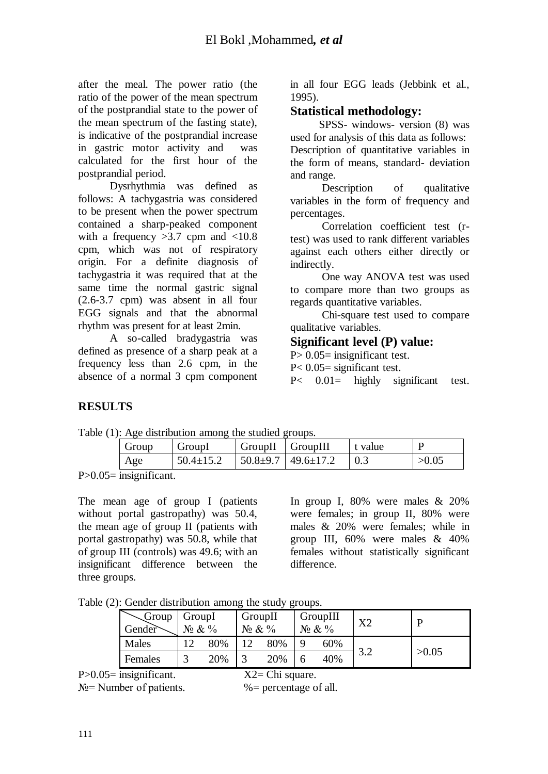after the meal. The power ratio (the ratio of the power of the mean spectrum of the postprandial state to the power of the mean spectrum of the fasting state), is indicative of the postprandial increase in gastric motor activity and was calculated for the first hour of the postprandial period.

 Dysrhythmia was defined as follows: A tachygastria was considered to be present when the power spectrum contained a sharp-peaked component with a frequency  $>3.7$  cpm and  $<10.8$ cpm, which was not of respiratory origin. For a definite diagnosis of tachygastria it was required that at the same time the normal gastric signal (2.6-3.7 cpm) was absent in all four EGG signals and that the abnormal rhythm was present for at least 2min.

 A so-called bradygastria was defined as presence of a sharp peak at a frequency less than 2.6 cpm, in the absence of a normal 3 cpm component

in all four EGG leads (Jebbink et al., 1995).

### **Statistical methodology:**

 SPSS- windows- version (8) was used for analysis of this data as follows: Description of quantitative variables in the form of means, standard- deviation and range.

Description of qualitative variables in the form of frequency and percentages.

 Correlation coefficient test (rtest) was used to rank different variables against each others either directly or indirectly.

 One way ANOVA test was used to compare more than two groups as regards quantitative variables.

 Chi-square test used to compare qualitative variables.

### **Significant level (P) value:**

 $P > 0.05$ = insignificant test.

P< 0.05= significant test.

P< 0.01= highly significant test.

## **RESULTS**

| Table (1): Age distribution among the studied groups. |                 |                                                |                                  |         |       |  |  |  |
|-------------------------------------------------------|-----------------|------------------------------------------------|----------------------------------|---------|-------|--|--|--|
| Group                                                 | GroupI          | $\blacksquare$ GroupII $\blacksquare$ GroupIII |                                  | t value | D     |  |  |  |
| Age                                                   | $50.4 \pm 15.2$ |                                                | $50.8 \pm 9.7$   49.6 $\pm$ 17.2 |         | >0.05 |  |  |  |

P>0.05= insignificant.

The mean age of group I (patients without portal gastropathy) was 50.4, the mean age of group II (patients with portal gastropathy) was 50.8, while that of group III (controls) was 49.6; with an insignificant difference between the three groups.

In group I, 80% were males & 20% were females; in group II, 80% were males & 20% were females; while in group III, 60% were males & 40% females without statistically significant difference.

Table (2): Gender distribution among the study groups.

| Group<br>Gender | GroupI<br>$N_2 \& \frac{9}{6}$ |     | GroupII<br>$N_2 \& V_0$ |     | GroupIII<br>$N_2 \& V_0$ | X <sub>2</sub> |       |
|-----------------|--------------------------------|-----|-------------------------|-----|--------------------------|----------------|-------|
| Males           |                                | 80% | 12                      | 80% | 60%                      |                |       |
| Females         |                                | 20% |                         | 20% | 40%                      |                | >0.05 |

P>0.05= insignificant. X2= Chi square.

 $N_2$ = Number of patients.  $\%$  = percentage of all.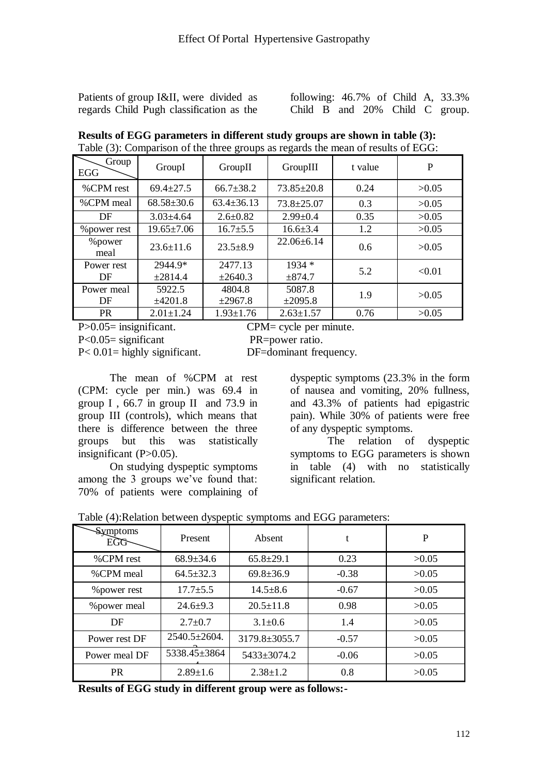Patients of group I&II, were divided as regards Child Pugh classification as the

following: 46.7% of Child A, 33.3% Child B and 20% Child C group.

| Group<br><b>EGG</b> | GroupI           | GroupII          | GroupIII         | t value | P      |
|---------------------|------------------|------------------|------------------|---------|--------|
| %CPM rest           | $69.4 \pm 27.5$  | $66.7 \pm 38.2$  | $73.85 \pm 20.8$ | 0.24    | >0.05  |
| %CPM meal           | $68.58 \pm 30.6$ | $63.4 \pm 36.13$ | $73.8 \pm 25.07$ | 0.3     | >0.05  |
| DF                  | $3.03 \pm 4.64$  | $2.6 \pm 0.82$   | $2.99 \pm 0.4$   | 0.35    | >0.05  |
| % power rest        | $19.65 \pm 7.06$ | $16.7 \pm 5.5$   | $16.6 \pm 3.4$   | 1.2     | >0.05  |
| %power<br>meal      | $23.6 \pm 11.6$  | $23.5 \pm 8.9$   | $22.06 \pm 6.14$ | 0.6     | >0.05  |
| Power rest          | 2944.9*          | 2477.13          | $1934*$          | 5.2     | < 0.01 |
| DF                  | ±2814.4          | ±2640.3          | ±874.7           |         |        |
| Power meal          | 5922.5           | 4804.8           | 5087.8           | 1.9     | >0.05  |
| DF                  | ±4201.8          | ±2967.8          | $\pm 2095.8$     |         |        |
| <b>PR</b>           | $2.01 \pm 1.24$  | $1.93 \pm 1.76$  | $2.63 \pm 1.57$  | 0.76    | >0.05  |

**Results of EGG parameters in different study groups are shown in table (3):** Table (3): Comparison of the three groups as regards the mean of results of EGG:

P>0.05= insignificant. CPM= cycle per minute.

P<0.05= significant PR=power ratio.

P< 0.01= highly significant. DF=dominant frequency.

 The mean of %CPM at rest (CPM: cycle per min.) was 69.4 in group I , 66.7 in group II and 73.9 in group III (controls), which means that there is difference between the three groups but this was statistically insignificant (P>0.05).

 On studying dyspeptic symptoms among the 3 groups we've found that: 70% of patients were complaining of dyspeptic symptoms (23.3% in the form of nausea and vomiting, 20% fullness, and 43.3% of patients had epigastric pain). While 30% of patients were free of any dyspeptic symptoms.

 The relation of dyspeptic symptoms to EGG parameters is shown in table (4) with no statistically significant relation.

| <b>Symptoms</b><br><b>EGG</b> | Present         | Absent          | t       | P     |
|-------------------------------|-----------------|-----------------|---------|-------|
| %CPM rest                     | $68.9 \pm 34.6$ | $65.8 \pm 29.1$ | 0.23    | >0.05 |
| %CPM meal                     | $64.5 \pm 32.3$ | $69.8 \pm 36.9$ | $-0.38$ | >0.05 |
| % power rest                  | $17.7 \pm 5.5$  | $14.5 \pm 8.6$  | $-0.67$ | >0.05 |
| % power meal                  | $24.6 + 9.3$    | $20.5 \pm 11.8$ | 0.98    | >0.05 |
| DF                            | $2.7 \pm 0.7$   | $3.1 \pm 0.6$   | 1.4     | >0.05 |
| Power rest DF                 | 2540.5±2604.    | 3179.8±3055.7   | $-0.57$ | >0.05 |
| Power meal DF                 | 5338.45±3864    | 5433±3074.2     | $-0.06$ | >0.05 |
| <b>PR</b>                     | $2.89 \pm 1.6$  | $2.38 \pm 1.2$  | 0.8     | >0.05 |

Table (4):Relation between dyspeptic symptoms and EGG parameters:

**Results of EGG study in different group were as follows:-**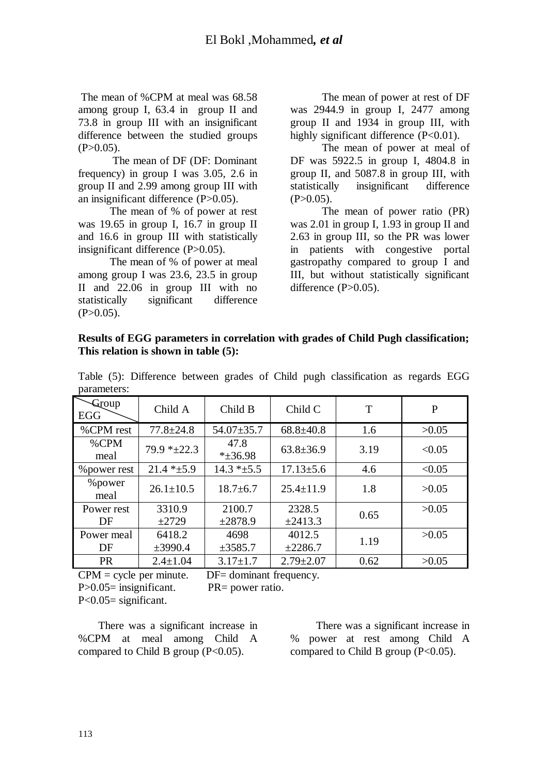The mean of %CPM at meal was 68.58 among group I, 63.4 in group II and 73.8 in group III with an insignificant difference between the studied groups  $(P>0.05)$ .

 The mean of DF (DF: Dominant frequency) in group I was 3.05, 2.6 in group II and 2.99 among group III with an insignificant difference (P>0.05).

 The mean of % of power at rest was 19.65 in group I, 16.7 in group II and 16.6 in group III with statistically insignificant difference (P>0.05).

 The mean of % of power at meal among group I was 23.6, 23.5 in group II and 22.06 in group III with no statistically significant difference  $(P>0.05)$ .

 The mean of power at rest of DF was 2944.9 in group I, 2477 among group II and 1934 in group III, with highly significant difference (P<0.01).

 The mean of power at meal of DF was 5922.5 in group I, 4804.8 in group II, and 5087.8 in group III, with statistically insignificant difference  $(P>0.05)$ .

 The mean of power ratio (PR) was 2.01 in group I, 1.93 in group II and 2.63 in group III, so the PR was lower in patients with congestive portal gastropathy compared to group I and III, but without statistically significant difference  $(P>0.05)$ .

#### **Results of EGG parameters in correlation with grades of Child Pugh classification; This relation is shown in table (5):**

| Group<br>EGG    | Child A         | Child B                | Child C         | T    | P      |
|-----------------|-----------------|------------------------|-----------------|------|--------|
| %CPM rest       | $77.8 \pm 24.8$ | $54.07 \pm 35.7$       | $68.8 \pm 40.8$ | 1.6  | >0.05  |
| $%$ CPM<br>meal | $79.9 * 22.3$   | 47.8<br>$*_{\pm}36.98$ | $63.8 \pm 36.9$ | 3.19 | < 0.05 |
| % power rest    | $21.4 * + 5.9$  | $14.3 * ±5.5$          | $17.13 \pm 5.6$ | 4.6  | < 0.05 |
| % power<br>meal | $26.1 \pm 10.5$ | $18.7 \pm 6.7$         | $25.4 \pm 11.9$ | 1.8  | >0.05  |
| Power rest      | 3310.9          | 2100.7                 | 2328.5          | 0.65 | >0.05  |
| DF              | $\pm 2729$      | ±2878.9                | $\pm 2413.3$    |      |        |
| Power meal      | 6418.2          | 4698                   | 4012.5          | 1.19 | >0.05  |
| DF              | ±3990.4         | $\pm 3585.7$           | ±2286.7         |      |        |
| <b>PR</b>       | $2.4 \pm 1.04$  | $3.17 \pm 1.7$         | $2.79 \pm 2.07$ | 0.62 | >0.05  |

Table (5): Difference between grades of Child pugh classification as regards EGG parameters:

 $CPM = cycle$  per minute. DF= dominant frequency. P $>0.05$ = insignificant. PR= power ratio. P<0.05= significant.

 There was a significant increase in %CPM at meal among Child A compared to Child B group  $(P<0.05)$ .

 There was a significant increase in % power at rest among Child A compared to Child B group  $(P<0.05)$ .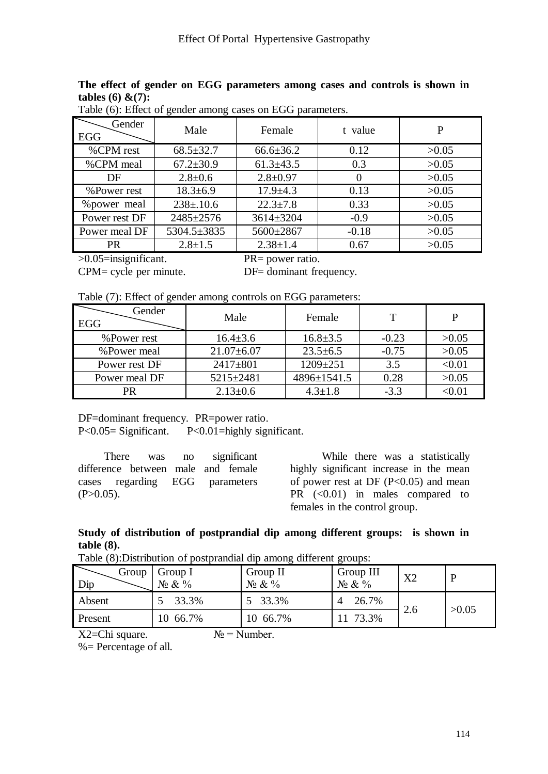### **The effect of gender on EGG parameters among cases and controls is shown in tables (6) &(7):**

| Gender<br>EGG | Male            | Female          | t value  | P     |
|---------------|-----------------|-----------------|----------|-------|
| %CPM rest     | $68.5 \pm 32.7$ | $66.6 \pm 36.2$ | 0.12     | >0.05 |
| %CPM meal     | $67.2 \pm 30.9$ | $61.3 \pm 43.5$ | 0.3      | >0.05 |
| DF            | $2.8 \pm 0.6$   | $2.8 \pm 0.97$  | $\theta$ | >0.05 |
| %Power rest   | $18.3 \pm 6.9$  | $17.9 + 4.3$    | 0.13     | >0.05 |
| % power meal  | $238 \pm 0.6$   | $22.3 \pm 7.8$  | 0.33     | >0.05 |
| Power rest DF | 2485±2576       | 3614±3204       | $-0.9$   | >0.05 |
| Power meal DF | 5304.5±3835     | 5600±2867       | $-0.18$  | >0.05 |
| <b>PR</b>     | $2.8 \pm 1.5$   | $2.38 \pm 1.4$  | 0.67     | >0.05 |
|               |                 |                 |          |       |

Table (6): Effect of gender among cases on EGG parameters.

>0.05=insignificant. PR= power ratio.

CPM= cycle per minute. DF= dominant frequency.

Table (7): Effect of gender among controls on EGG parameters:

| Gender<br>EGG | Male             | Female         | Т       | P      |
|---------------|------------------|----------------|---------|--------|
| %Power rest   | $16.4 \pm 3.6$   | $16.8 \pm 3.5$ | $-0.23$ | >0.05  |
| %Power meal   | $21.07 \pm 6.07$ | $23.5 \pm 6.5$ | $-0.75$ | >0.05  |
| Power rest DF | $2417 + 801$     | $1209 \pm 251$ | 3.5     | < 0.01 |
| Power meal DF | $5215 \pm 2481$  | 4896±1541.5    | 0.28    | >0.05  |
| PR            | $2.13 \pm 0.6$   | $4.3 \pm 1.8$  | $-3.3$  | <0.01  |

DF=dominant frequency. PR=power ratio.

P<0.05= Significant. P<0.01=highly significant.

|              | There was no significant           |  |  |
|--------------|------------------------------------|--|--|
|              | difference between male and female |  |  |
|              | cases regarding EGG parameters     |  |  |
| $(P>0.05)$ . |                                    |  |  |

 While there was a statistically highly significant increase in the mean of power rest at DF  $(P<0.05)$  and mean PR  $( $0.01$ ) in males compared to$ females in the control group.

#### **Study of distribution of postprandial dip among different groups: is shown in table (8).**

Table (8):Distribution of postprandial dip among different groups:

| Twore (0) to have control of postpression eight enforce security security |                         |                          |                           |     |       |  |  |  |
|---------------------------------------------------------------------------|-------------------------|--------------------------|---------------------------|-----|-------|--|--|--|
| Group<br>Dip                                                              | Group I<br>$N_2 \& V_0$ | Group II<br>$N_2 \& V_0$ | Group III<br>$N_2 \& V_0$ | X2  |       |  |  |  |
| Absent                                                                    | 33.3%                   | 5 33.3%                  | 26.7%                     | 2.6 | >0.05 |  |  |  |
| Present                                                                   | 10 66.7%                | 10 66.7%                 | 11 73.3%                  |     |       |  |  |  |

 $X2=Chi$  square.  $N_2 = Number$ .

%= Percentage of all.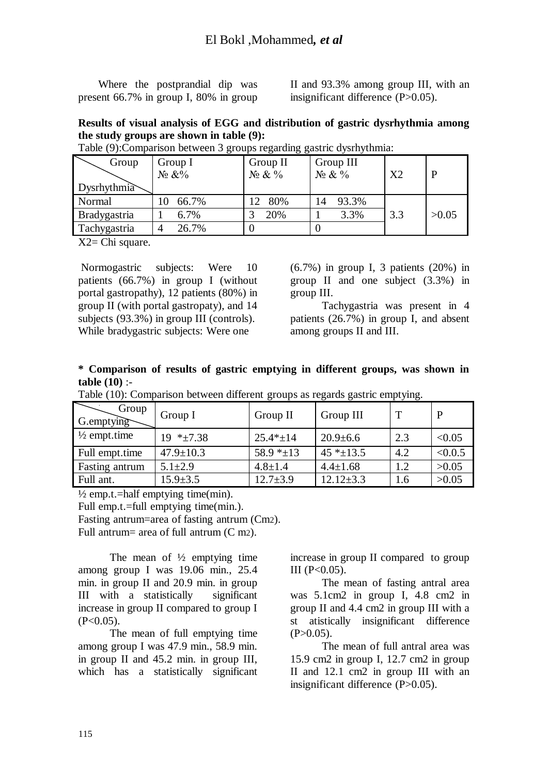Where the postprandial dip was present 66.7% in group I, 80% in group II and 93.3% among group III, with an insignificant difference (P>0.05).

### **Results of visual analysis of EGG and distribution of gastric dysrhythmia among the study groups are shown in table (9):**

| Group               | Group I<br>$N_2 \& V_0$ | Group II<br>$N_2 \& \frac{9}{6}$ | Group III<br>$N_2 \& V_0$ | X <sub>2</sub> | P     |
|---------------------|-------------------------|----------------------------------|---------------------------|----------------|-------|
| Dysrhythmia         |                         |                                  |                           |                |       |
| Normal              | 66.7%                   | 80%                              | 93.3%                     |                |       |
| <b>Bradygastria</b> | 6.7%                    | 20%                              | 3.3%                      | 3.3            | >0.05 |
| Tachygastria        | 26.7%<br>4              |                                  |                           |                |       |

Table (9):Comparison between 3 groups regarding gastric dysrhythmia:

X2= Chi square.

Normogastric subjects: Were 10 patients (66.7%) in group I (without portal gastropathy), 12 patients (80%) in group II (with portal gastropaty), and 14 subjects (93.3%) in group III (controls). While bradygastric subjects: Were one

(6.7%) in group I, 3 patients (20%) in group II and one subject (3.3%) in group III.

 Tachygastria was present in 4 patients (26.7%) in group I, and absent among groups II and III.

#### **\* Comparison of results of gastric emptying in different groups, was shown in table (10)** :-

|                         |                 |                   | . .             | .   |         |
|-------------------------|-----------------|-------------------|-----------------|-----|---------|
| Group<br>G.emptying     | Group I         | Group II          | Group III       |     | P       |
| $\frac{1}{2}$ empt.time | $19 * \pm 7.38$ | $25.4*+14$        | $20.9 \pm 6.6$  | 2.3 | < 0.05  |
| Full empt.time          | $47.9 \pm 10.3$ | 58.9 $*_{\pm 13}$ | $45 * + 13.5$   | 4.2 | < 0.0.5 |
| Fasting antrum          | $5.1 \pm 2.9$   | $4.8 \pm 1.4$     | $4.4 \pm 1.68$  | 1.2 | >0.05   |
| Full ant.               | $15.9 \pm 3.5$  | $12.7 \pm 3.9$    | $12.12 \pm 3.3$ | 1.6 | >0.05   |

Table (10): Comparison between different groups as regards gastric emptying.

 $\frac{1}{2}$  emp.t.=half emptying time(min).

Full emp.t.=full emptying time(min.).

Fasting antrum=area of fasting antrum (Cm2).

Full antrum= area of full antrum (C m2).

The mean of  $\frac{1}{2}$  emptying time among group I was 19.06 min., 25.4 min. in group II and 20.9 min. in group III with a statistically significant increase in group II compared to group I  $(P<0.05)$ .

 The mean of full emptying time among group I was 47.9 min., 58.9 min. in group II and 45.2 min. in group III, which has a statistically significant increase in group II compared to group  $III (P<0.05)$ .

 The mean of fasting antral area was 5.1cm2 in group I, 4.8 cm2 in group II and 4.4 cm2 in group III with a st atistically insignificant difference  $(P>0.05)$ .

 The mean of full antral area was 15.9 cm2 in group I, 12.7 cm2 in group II and 12.1 cm2 in group III with an insignificant difference (P>0.05).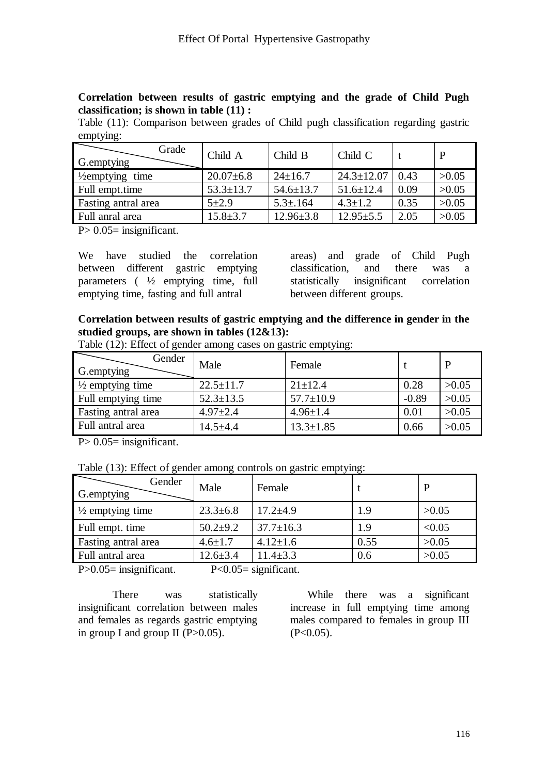#### **Correlation between results of gastric emptying and the grade of Child Pugh classification; is shown in table (11) :**

Table (11): Comparison between grades of Child pugh classification regarding gastric emptying:

| Grade<br>G.emptying         | Child A         | Child B         | Child C          |      |       |
|-----------------------------|-----------------|-----------------|------------------|------|-------|
| $\frac{1}{2}$ emptying time | $20.07\pm 6.8$  | $24 \pm 16.7$   | $24.3 \pm 12.07$ | 0.43 | >0.05 |
| Full empt.time              | $53.3 \pm 13.7$ | $54.6 \pm 13.7$ | $51.6 \pm 12.4$  | 0.09 | >0.05 |
| Fasting antral area         | $5 + 2.9$       | $5.3 \pm 0.164$ | $4.3 \pm 1.2$    | 0.35 | >0.05 |
| Full anral area             | $15.8 \pm 3.7$  | $12.96 \pm 3.8$ | $12.95 \pm 5.5$  | 2.05 | >0.05 |

 $P > 0.05$ = insignificant.

We have studied the correlation between different gastric emptying parameters ( ½ emptying time, full emptying time, fasting and full antral

areas) and grade of Child Pugh classification, and there was a statistically insignificant correlation between different groups.

### **Correlation between results of gastric emptying and the difference in gender in the studied groups, are shown in tables (12&13):**

| Table (12): Effect of gender among cases on gastric emptying: |  |  |  |
|---------------------------------------------------------------|--|--|--|
|                                                               |  |  |  |

| Gender<br>G. emptying       | Male            | Female          |         | P     |
|-----------------------------|-----------------|-----------------|---------|-------|
| $\frac{1}{2}$ emptying time | $22.5 \pm 11.7$ | $21 \pm 12.4$   | 0.28    | >0.05 |
| Full emptying time          | $52.3 \pm 13.5$ | $57.7 \pm 10.9$ | $-0.89$ | >0.05 |
| Fasting antral area         | $4.97 \pm 2.4$  | $4.96 \pm 1.4$  | 0.01    | >0.05 |
| Full antral area            | $14.5 + 4.4$    | $13.3 \pm 1.85$ | 0.66    | >0.05 |

 $P > 0.05$ = insignificant.

Table (13): Effect of gender among controls on gastric emptying:

| Gender<br>G. emptying       | Male                 | Female          |      |        |
|-----------------------------|----------------------|-----------------|------|--------|
| $\frac{1}{2}$ emptying time | $23.3 \pm 6.8$       | $17.2 \pm 4.9$  | 1.9  | >0.05  |
| Full empt. time             | $50.2+9.2$           | $37.7 \pm 16.3$ | 1.9  | < 0.05 |
| Fasting antral area         | $4.6 \pm 1.7$        | $4.12 \pm 1.6$  | 0.55 | >0.05  |
| Full antral area            | $12.6 \pm 3.4$       | $11.4 \pm 3.3$  | 0.6  | >0.05  |
| $\cdot$<br>$    -$          | $\sim$ $\sim$ $\sim$ | $\sim$          |      |        |

P>0.05= insignificant. P<0.05= significant.

There was statistically insignificant correlation between males and females as regards gastric emptying in group I and group II  $(P>0.05)$ .

 While there was a significant increase in full emptying time among males compared to females in group III  $(P<0.05)$ .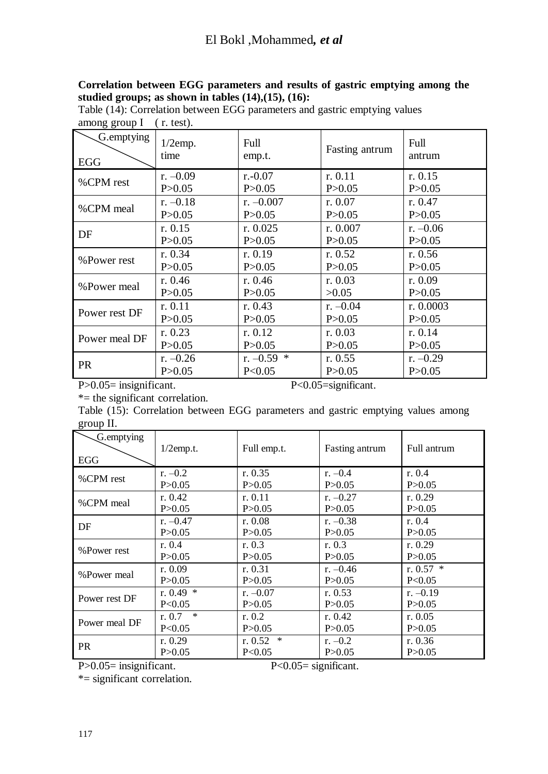### **Correlation between EGG parameters and results of gastric emptying among the studied groups; as shown in tables (14),(15), (16):**

| $\circ$ $\circ$<br>G.emptying<br><b>EGG</b> | $1/2$ emp.<br>time | Full<br>emp.t. | Fasting antrum | Full<br>antrum |
|---------------------------------------------|--------------------|----------------|----------------|----------------|
| %CPM rest                                   | r. $-0.09$         | $r - 0.07$     | r. 0.11        | r. 0.15        |
|                                             | P > 0.05           | P > 0.05       | P > 0.05       | P > 0.05       |
| %CPM meal                                   | $r. -0.18$         | $r. -0.007$    | r. 0.07        | r. 0.47        |
|                                             | P > 0.05           | P > 0.05       | P > 0.05       | P > 0.05       |
| DF                                          | r. 0.15            | r. $0.025$     | r. 0.007       | r. $-0.06$     |
|                                             | P > 0.05           | P > 0.05       | P > 0.05       | P > 0.05       |
| %Power rest                                 | r. 0.34            | r. 0.19        | r. $0.52$      | r. $0.56$      |
|                                             | P > 0.05           | P > 0.05       | P > 0.05       | P > 0.05       |
| %Power meal                                 | r. $0.46$          | r. $0.46$      | r. 0.03        | r. 0.09        |
|                                             | P > 0.05           | P > 0.05       | >0.05          | P > 0.05       |
| Power rest DF                               | r. 0.11            | r. 0.43        | $r. -0.04$     | r. $0.0003$    |
|                                             | P > 0.05           | P > 0.05       | P > 0.05       | P > 0.05       |
| Power meal DF                               | r. 0.23            | r. 0.12        | r. 0.03        | r. 0.14        |
|                                             | P > 0.05           | P > 0.05       | P > 0.05       | P > 0.05       |
| <b>PR</b>                                   | r. $-0.26$         | r. $-0.59$ *   | r. $0.55$      | r. $-0.29$     |
|                                             | P > 0.05           | P<0.05         | P > 0.05       | P > 0.05       |

Table (14): Correlation between EGG parameters and gastric emptying values among group I (r. test).

P>0.05= insignificant. P<0.05=significant.

\*= the significant correlation.

Table (15): Correlation between EGG parameters and gastric emptying values among group II.

| $\circ$<br>G.emptying |                  |                     |                |             |
|-----------------------|------------------|---------------------|----------------|-------------|
|                       | $1/2$ emp.t.     | Full emp.t.         | Fasting antrum | Full antrum |
| EGG                   |                  |                     |                |             |
| %CPM rest             | r. $-0.2$        | r. 0.35             | r. $-0.4$      | r. 0.4      |
|                       | P > 0.05         | P > 0.05            | P > 0.05       | P > 0.05    |
| %CPM meal             | r. $0.42$        | r. $0.11$           | r. $-0.27$     | r. $0.29$   |
|                       | P > 0.05         | P > 0.05            | P > 0.05       | P > 0.05    |
| DF                    | r. $-0.47$       | r. 0.08             | r. $-0.38$     | r. 0.4      |
|                       | P > 0.05         | P > 0.05            | P > 0.05       | P > 0.05    |
| %Power rest           | r. 0.4           | r. $0.3$            | r. $0.3$       | r. $0.29$   |
|                       | P > 0.05         | P > 0.05            | P > 0.05       | P > 0.05    |
| %Power meal           | r. 0.09          | r. $0.31$           | r. $-0.46$     | r. $0.57 *$ |
|                       | P > 0.05         | P > 0.05            | P > 0.05       | P<0.05      |
| Power rest DF         | r. $0.49*$       | r. $-0.07$          | r. $0.53$      | r. $-0.19$  |
|                       | P < 0.05         | P > 0.05            | P > 0.05       | P > 0.05    |
| Power meal DF         | $\ast$<br>r. 0.7 | r. 0.2              | r. $0.42$      | r. $0.05$   |
|                       | P<0.05           | P > 0.05            | P > 0.05       | P > 0.05    |
| <b>PR</b>             | r. 0.29          | $\ast$<br>r. $0.52$ | r. $-0.2$      | r. $0.36$   |
|                       | P > 0.05         | P<0.05              | P > 0.05       | P > 0.05    |

P>0.05= insignificant. P<0.05= significant.

\*= significant correlation.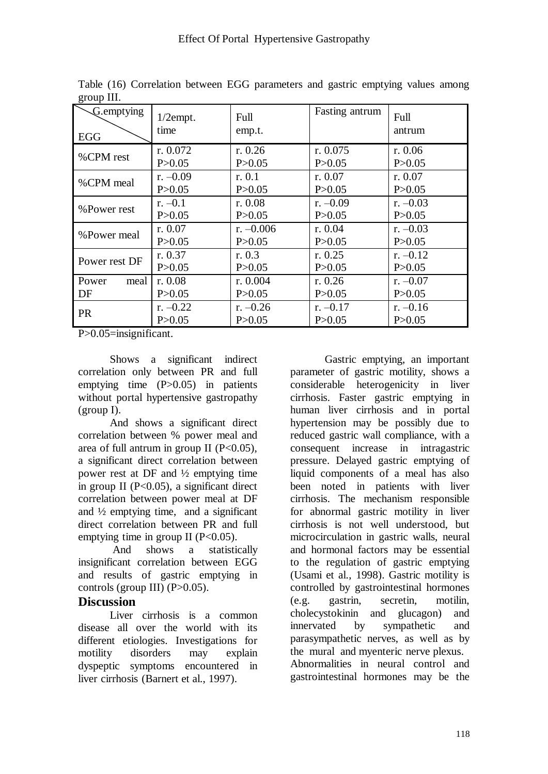| G.emptying          | $1/2$ empt.         | Full                 | Fasting antrum        | Full                   |
|---------------------|---------------------|----------------------|-----------------------|------------------------|
| <b>EGG</b>          | time                | emp.t.               |                       | antrum                 |
| %CPM rest           | r. 0.072            | r. $0.26$            | r. 0.075              | r. $0.06$              |
|                     | P > 0.05            | P > 0.05             | P > 0.05              | P > 0.05               |
| %CPM meal           | r. $-0.09$          | r. 0.1               | r. 0.07               | r. 0.07                |
|                     | P > 0.05            | P > 0.05             | P > 0.05              | P > 0.05               |
| %Power rest         | $r. -0.1$           | r. 0.08              | r. $-0.09$            | r. $-0.03$             |
|                     | P > 0.05            | P > 0.05             | P > 0.05              | P > 0.05               |
| %Power meal         | r. 0.07             | r. $-0.006$          | r. 0.04               | r. $-0.03$             |
|                     | P > 0.05            | P > 0.05             | P > 0.05              | P > 0.05               |
| Power rest DF       | r. $0.37$           | r. 0.3               | r. $0.25$             | $r. -0.12$             |
|                     | P > 0.05            | P > 0.05             | P > 0.05              | P > 0.05               |
| Power<br>meal<br>DF | r. 0.08<br>P > 0.05 | r. 0.004<br>P > 0.05 | r. $0.26$<br>P > 0.05 | r. $-0.07$<br>P > 0.05 |
| <b>PR</b>           | r. $-0.22$          | r. $-0.26$           | r. $-0.17$            | r. $-0.16$             |
|                     | P > 0.05            | P > 0.05             | P > 0.05              | P > 0.05               |

Table (16) Correlation between EGG parameters and gastric emptying values among group III.

P>0.05=insignificant.

 Shows a significant indirect correlation only between PR and full emptying time (P>0.05) in patients without portal hypertensive gastropathy (group I).

 And shows a significant direct correlation between % power meal and area of full antrum in group II  $(P<0.05)$ . a significant direct correlation between power rest at DF and ½ emptying time in group II (P<0.05), a significant direct correlation between power meal at DF and ½ emptying time, and a significant direct correlation between PR and full emptying time in group II  $(P<0.05)$ .

 And shows a statistically insignificant correlation between EGG and results of gastric emptying in controls (group III)  $(P>0.05)$ .

### **Discussion**

 Liver cirrhosis is a common disease all over the world with its different etiologies. Investigations for motility disorders may explain dyspeptic symptoms encountered in liver cirrhosis (Barnert et al., 1997).

 Gastric emptying, an important parameter of gastric motility, shows a considerable heterogenicity in liver cirrhosis. Faster gastric emptying in human liver cirrhosis and in portal hypertension may be possibly due to reduced gastric wall compliance, with a consequent increase in intragastric pressure. Delayed gastric emptying of liquid components of a meal has also been noted in patients with liver cirrhosis. The mechanism responsible for abnormal gastric motility in liver cirrhosis is not well understood, but microcirculation in gastric walls, neural and hormonal factors may be essential to the regulation of gastric emptying (Usami et al., 1998). Gastric motility is controlled by gastrointestinal hormones (e.g. gastrin, secretin, motilin, cholecystokinin and glucagon) and innervated by sympathetic and parasympathetic nerves, as well as by the mural and myenteric nerve plexus. Abnormalities in neural control and gastrointestinal hormones may be the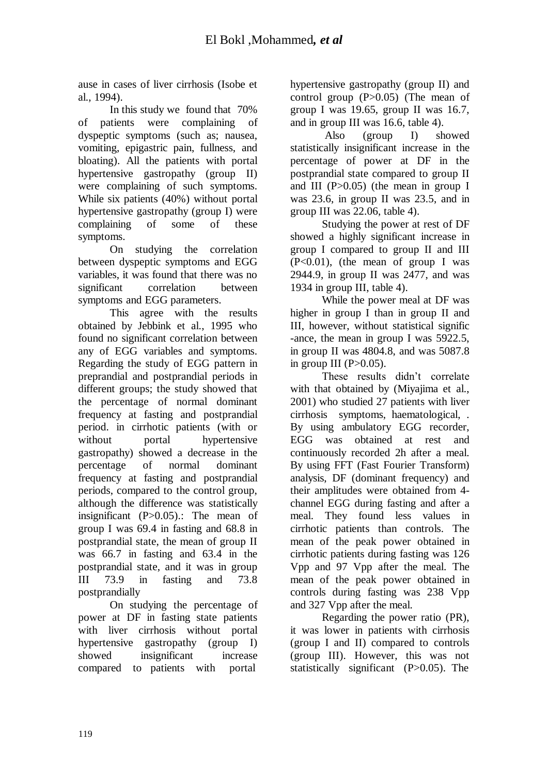ause in cases of liver cirrhosis (Isobe et al., 1994).

 In this study we found that 70% of patients were complaining of dyspeptic symptoms (such as; nausea, vomiting, epigastric pain, fullness, and bloating). All the patients with portal hypertensive gastropathy (group II) were complaining of such symptoms. While six patients (40%) without portal hypertensive gastropathy (group I) were complaining of some of these symptoms.

 On studying the correlation between dyspeptic symptoms and EGG variables, it was found that there was no significant correlation between symptoms and EGG parameters.

 This agree with the results obtained by Jebbink et al., 1995 who found no significant correlation between any of EGG variables and symptoms. Regarding the study of EGG pattern in preprandial and postprandial periods in different groups; the study showed that the percentage of normal dominant frequency at fasting and postprandial period. in cirrhotic patients (with or without portal hypertensive gastropathy) showed a decrease in the percentage of normal dominant frequency at fasting and postprandial periods, compared to the control group, although the difference was statistically insignificant (P>0.05).: The mean of group I was 69.4 in fasting and 68.8 in postprandial state, the mean of group II was 66.7 in fasting and 63.4 in the postprandial state, and it was in group III 73.9 in fasting and 73.8 postprandially

 On studying the percentage of power at DF in fasting state patients with liver cirrhosis without portal hypertensive gastropathy (group I) showed insignificant increase compared to patients with portal

hypertensive gastropathy (group II) and control group  $(P>0.05)$  (The mean of group I was 19.65, group II was 16.7, and in group III was 16.6, table 4).

 Also (group I) showed statistically insignificant increase in the percentage of power at DF in the postprandial state compared to group II and III  $(P>0.05)$  (the mean in group I was 23.6, in group II was 23.5, and in group III was 22.06, table 4).

 Studying the power at rest of DF showed a highly significant increase in group I compared to group II and III  $(P<0.01)$ , (the mean of group I was 2944.9, in group II was 2477, and was 1934 in group III, table 4).

 While the power meal at DF was higher in group I than in group II and III, however, without statistical signific -ance, the mean in group I was 5922.5, in group II was 4804.8, and was 5087.8 in group III  $(P>0.05)$ .

 These results didn't correlate with that obtained by (Miyajima et al., 2001) who studied 27 patients with liver cirrhosis symptoms, haematological, . By using ambulatory EGG recorder, EGG was obtained at rest and continuously recorded 2h after a meal. By using FFT (Fast Fourier Transform) analysis, DF (dominant frequency) and their amplitudes were obtained from 4 channel EGG during fasting and after a meal. They found less values in cirrhotic patients than controls. The mean of the peak power obtained in cirrhotic patients during fasting was 126 Vpp and 97 Vpp after the meal. The mean of the peak power obtained in controls during fasting was 238 Vpp and 327 Vpp after the meal.

 Regarding the power ratio (PR), it was lower in patients with cirrhosis (group I and II) compared to controls (group III). However, this was not statistically significant (P>0.05). The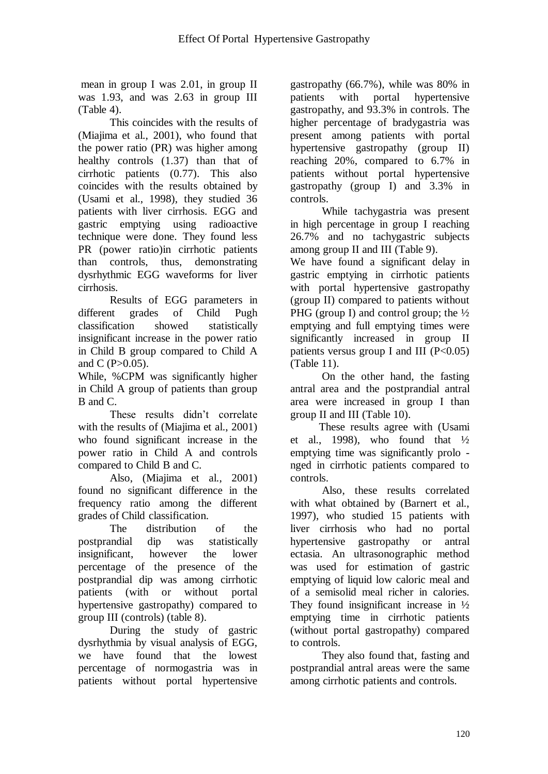mean in group I was 2.01, in group II was 1.93, and was 2.63 in group III (Table 4).

 This coincides with the results of (Miajima et al., 2001), who found that the power ratio (PR) was higher among healthy controls (1.37) than that of cirrhotic patients (0.77). This also coincides with the results obtained by (Usami et al., 1998), they studied 36 patients with liver cirrhosis. EGG and gastric emptying using radioactive technique were done. They found less PR (power ratio)in cirrhotic patients than controls, thus, demonstrating dysrhythmic EGG waveforms for liver cirrhosis.

 Results of EGG parameters in different grades of Child Pugh classification showed statistically insignificant increase in the power ratio in Child B group compared to Child A and C  $(P>0.05)$ .

While, %CPM was significantly higher in Child A group of patients than group B and C.

 These results didn't correlate with the results of (Miajima et al., 2001) who found significant increase in the power ratio in Child A and controls compared to Child B and C.

 Also, (Miajima et al., 2001) found no significant difference in the frequency ratio among the different grades of Child classification.

 The distribution of the postprandial dip was statistically insignificant, however the lower percentage of the presence of the postprandial dip was among cirrhotic patients (with or without portal hypertensive gastropathy) compared to group III (controls) (table 8).

 During the study of gastric dysrhythmia by visual analysis of EGG, we have found that the lowest percentage of normogastria was in patients without portal hypertensive

gastropathy (66.7%), while was 80% in patients with portal hypertensive gastropathy, and 93.3% in controls. The higher percentage of bradygastria was present among patients with portal hypertensive gastropathy (group II) reaching 20%, compared to 6.7% in patients without portal hypertensive gastropathy (group I) and 3.3% in controls.

 While tachygastria was present in high percentage in group I reaching 26.7% and no tachygastric subjects among group II and III (Table 9).

We have found a significant delay in gastric emptying in cirrhotic patients with portal hypertensive gastropathy (group II) compared to patients without PHG (group I) and control group; the  $\frac{1}{2}$ emptying and full emptying times were significantly increased in group II patients versus group I and III  $(P<0.05)$ (Table 11).

 On the other hand, the fasting antral area and the postprandial antral area were increased in group I than group II and III (Table 10).

 These results agree with (Usami et al., 1998), who found that  $\frac{1}{2}$ emptying time was significantly prolo nged in cirrhotic patients compared to controls.

 Also, these results correlated with what obtained by (Barnert et al., 1997), who studied 15 patients with liver cirrhosis who had no portal hypertensive gastropathy or antral ectasia. An ultrasonographic method was used for estimation of gastric emptying of liquid low caloric meal and of a semisolid meal richer in calories. They found insignificant increase in  $\frac{1}{2}$ emptying time in cirrhotic patients (without portal gastropathy) compared to controls.

 They also found that, fasting and postprandial antral areas were the same among cirrhotic patients and controls.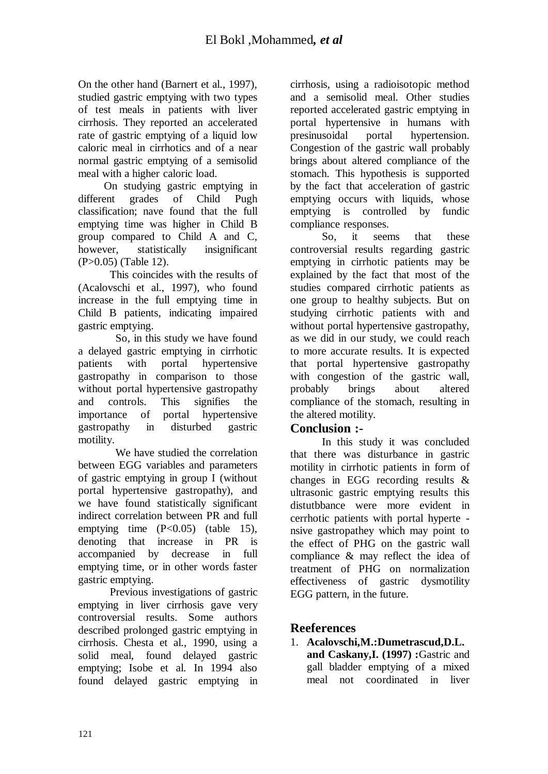On the other hand (Barnert et al., 1997), studied gastric emptying with two types of test meals in patients with liver cirrhosis. They reported an accelerated rate of gastric emptying of a liquid low caloric meal in cirrhotics and of a near normal gastric emptying of a semisolid meal with a higher caloric load.

 On studying gastric emptying in different grades of Child Pugh classification; nave found that the full emptying time was higher in Child B group compared to Child A and C, however, statistically insignificant (P>0.05) (Table 12).

 This coincides with the results of (Acalovschi et al., 1997), who found increase in the full emptying time in Child B patients, indicating impaired gastric emptying.

 So, in this study we have found a delayed gastric emptying in cirrhotic patients with portal hypertensive gastropathy in comparison to those without portal hypertensive gastropathy and controls. This signifies the importance of portal hypertensive gastropathy in disturbed gastric motility.

 We have studied the correlation between EGG variables and parameters of gastric emptying in group I (without portal hypertensive gastropathy), and we have found statistically significant indirect correlation between PR and full emptying time (P<0.05) (table 15). denoting that increase in PR is accompanied by decrease in full emptying time, or in other words faster gastric emptying.

 Previous investigations of gastric emptying in liver cirrhosis gave very controversial results. Some authors described prolonged gastric emptying in cirrhosis. Chesta et al., 1990, using a solid meal, found delayed gastric emptying; Isobe et al. In 1994 also found delayed gastric emptying in

cirrhosis, using a radioisotopic method and a semisolid meal. Other studies reported accelerated gastric emptying in portal hypertensive in humans with presinusoidal portal hypertension. Congestion of the gastric wall probably brings about altered compliance of the stomach. This hypothesis is supported by the fact that acceleration of gastric emptying occurs with liquids, whose emptying is controlled by fundic compliance responses.

 So, it seems that these controversial results regarding gastric emptying in cirrhotic patients may be explained by the fact that most of the studies compared cirrhotic patients as one group to healthy subjects. But on studying cirrhotic patients with and without portal hypertensive gastropathy, as we did in our study, we could reach to more accurate results. It is expected that portal hypertensive gastropathy with congestion of the gastric wall, probably brings about altered compliance of the stomach, resulting in the altered motility.

## **Conclusion :-**

 In this study it was concluded that there was disturbance in gastric motility in cirrhotic patients in form of changes in EGG recording results & ultrasonic gastric emptying results this distutbbance were more evident in cerrhotic patients with portal hyperte nsive gastropathey which may point to the effect of PHG on the gastric wall compliance & may reflect the idea of treatment of PHG on normalization effectiveness of gastric dysmotility EGG pattern, in the future.

## **Reeferences**

1. **Acalovschi,M.:Dumetrascud,D.L. and Caskany,I. (1997) :**Gastric and gall bladder emptying of a mixed meal not coordinated in liver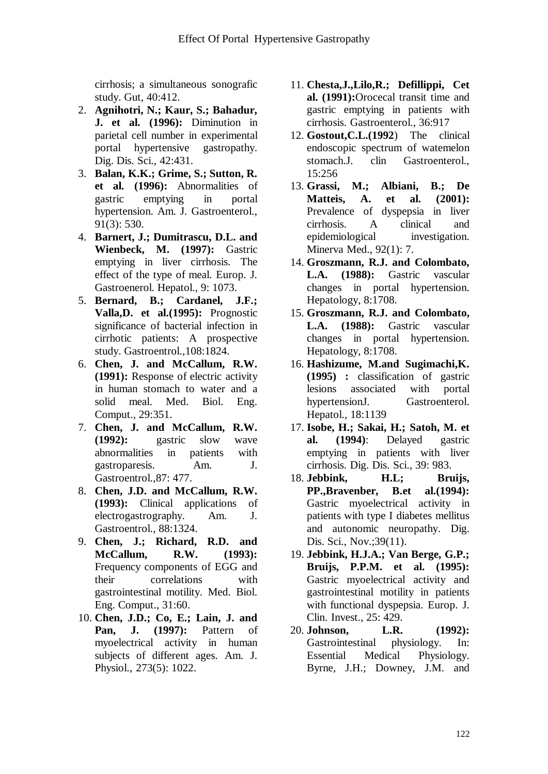cirrhosis; a simultaneous sonografic study. Gut, 40:412.

- 2. **Agnihotri, N.; Kaur, S.; Bahadur, J. et al. (1996):** Diminution in parietal cell number in experimental portal hypertensive gastropathy. Dig. Dis. Sci., 42:431.
- 3. **Balan, K.K.; Grime, S.; Sutton, R. et al. (1996):** Abnormalities of gastric emptying in portal hypertension. Am. J. Gastroenterol., 91(3): 530.
- 4. **Barnert, J.; Dumitrascu, D.L. and Wienbeck, M. (1997):** Gastric emptying in liver cirrhosis. The effect of the type of meal. Europ. J. Gastroenerol. Hepatol., 9: 1073.
- 5. **Bernard, B.; Cardanel, J.F.; Valla,D. et al.(1995):** Prognostic significance of bacterial infection in cirrhotic patients: A prospective study. Gastroentrol.,108:1824.
- 6. **Chen, J. and McCallum, R.W. (1991):** Response of electric activity in human stomach to water and a solid meal. Med. Biol. Eng. Comput., 29:351.
- 7. **Chen, J. and McCallum, R.W. (1992):** gastric slow wave abnormalities in patients with gastroparesis. Am. J. Gastroentrol.,87: 477.
- 8. **Chen, J.D. and McCallum, R.W. (1993):** Clinical applications of electrogastrography. Am. J. Gastroentrol., 88:1324.
- 9. **Chen, J.; Richard, R.D. and McCallum, R.W. (1993):** Frequency components of EGG and their correlations with gastrointestinal motility. Med. Biol. Eng. Comput., 31:60.
- 10. **Chen, J.D.; Co, E.; Lain, J. and Pan, J. (1997):** Pattern of myoelectrical activity in human subjects of different ages. Am. J. Physiol., 273(5): 1022.
- 11. **Chesta,J.,Lilo,R.; Defillippi, Cet al. (1991):**Orocecal transit time and gastric emptying in patients with cirrhosis. Gastroenterol., 36:917
- 12. **Gostout,C.L.(1992**) The clinical endoscopic spectrum of watemelon stomach.J. clin Gastroenterol., 15:256
- 13. **Grassi, M.; Albiani, B.; De Matteis, A. et al. (2001):** Prevalence of dyspepsia in liver cirrhosis. A clinical and epidemiological investigation. Minerva Med., 92(1): 7.
- 14. **Groszmann, R.J. and Colombato, L.A. (1988):** Gastric vascular changes in portal hypertension. Hepatology, 8:1708.
- 15. **Groszmann, R.J. and Colombato, L.A. (1988):** Gastric vascular changes in portal hypertension. Hepatology, 8:1708.
- 16. **Hashizume, M.and Sugimachi,K. (1995) :** classification of gastric lesions associated with portal hypertensionJ. Gastroenterol. Hepatol., 18:1139
- 17. **Isobe, H.; Sakai, H.; Satoh, M. et al. (1994)**: Delayed gastric emptying in patients with liver cirrhosis. Dig. Dis. Sci., 39: 983.
- 18. **Jebbink, H.L; Bruijs, PP.,Bravenber, B.et al.(1994):**  Gastric myoelectrical activity in patients with type I diabetes mellitus and autonomic neuropathy. Dig. Dis. Sci., Nov.;39(11).
- 19. **Jebbink, H.J.A.; Van Berge, G.P.; Bruijs, P.P.M. et al. (1995):** Gastric myoelectrical activity and gastrointestinal motility in patients with functional dyspepsia. Europ. J. Clin. Invest., 25: 429.
- 20. **Johnson, L.R. (1992):**  Gastrointestinal physiology. In: Essential Medical Physiology. Byrne, J.H.; Downey, J.M. and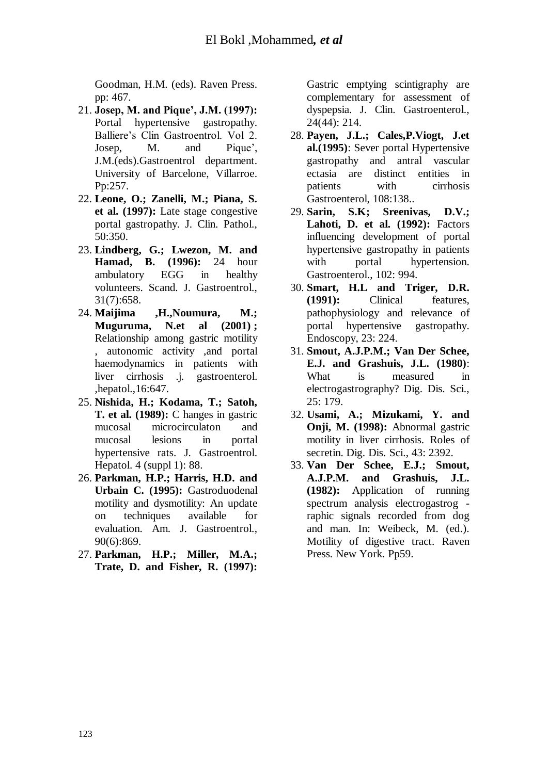Goodman, H.M. (eds). Raven Press. pp: 467.

- 21. **Josep, M. and Pique', J.M. (1997):** Portal hypertensive gastropathy. Balliere's Clin Gastroentrol. Vol 2. Josep, M. and Pique', J.M.(eds).Gastroentrol department. University of Barcelone, Villarroe. Pp:257.
- 22. **Leone, O.; Zanelli, M.; Piana, S. et al. (1997):** Late stage congestive portal gastropathy. J. Clin. Pathol., 50:350.
- 23. **Lindberg, G.; Lwezon, M. and Hamad, B. (1996):** 24 hour ambulatory EGG in healthy volunteers. Scand. J. Gastroentrol., 31(7):658.
- 24. **Maijima ,H.,Noumura, M.; Muguruma, N.et al (2001) ;**  Relationship among gastric motility , autonomic activity ,and portal haemodynamics in patients with liver cirrhosis .j. gastroenterol. ,hepatol.,16:647.
- 25. **Nishida, H.; Kodama, T.; Satoh, T. et al. (1989):** C hanges in gastric mucosal microcirculaton and mucosal lesions in portal hypertensive rats. J. Gastroentrol. Hepatol. 4 (suppl 1): 88.
- 26. **Parkman, H.P.; Harris, H.D. and Urbain C. (1995):** Gastroduodenal motility and dysmotility: An update on techniques available for evaluation. Am. J. Gastroentrol., 90(6):869.
- 27. **Parkman, H.P.; Miller, M.A.; Trate, D. and Fisher, R. (1997):**

Gastric emptying scintigraphy are complementary for assessment of dyspepsia. J. Clin. Gastroenterol., 24(44): 214.

- 28. **Payen, J.L.; Cales,P.Viogt, J.et al.(1995)**: Sever portal Hypertensive gastropathy and antral vascular ectasia are distinct entities in patients with cirrhosis Gastroenterol, 108:138..
- 29. **Sarin, S.K; Sreenivas, D.V.; Lahoti, D. et al. (1992):** Factors influencing development of portal hypertensive gastropathy in patients with portal hypertension. Gastroenterol., 102: 994.
- 30. **Smart, H.L and Triger, D.R. (1991):** Clinical features, pathophysiology and relevance of portal hypertensive gastropathy. Endoscopy, 23: 224.
- 31. **Smout, A.J.P.M.; Van Der Schee, E.J. and Grashuis, J.L. (1980)**: What is measured in electrogastrography? Dig. Dis. Sci., 25: 179.
- 32. **Usami, A.; Mizukami, Y. and Onji, M. (1998):** Abnormal gastric motility in liver cirrhosis. Roles of secretin. Dig. Dis. Sci., 43: 2392.
- 33. **Van Der Schee, E.J.; Smout, A.J.P.M. and Grashuis, J.L. (1982):** Application of running spectrum analysis electrogastrog raphic signals recorded from dog and man. In: Weibeck, M. (ed.). Motility of digestive tract. Raven Press. New York. Pp59.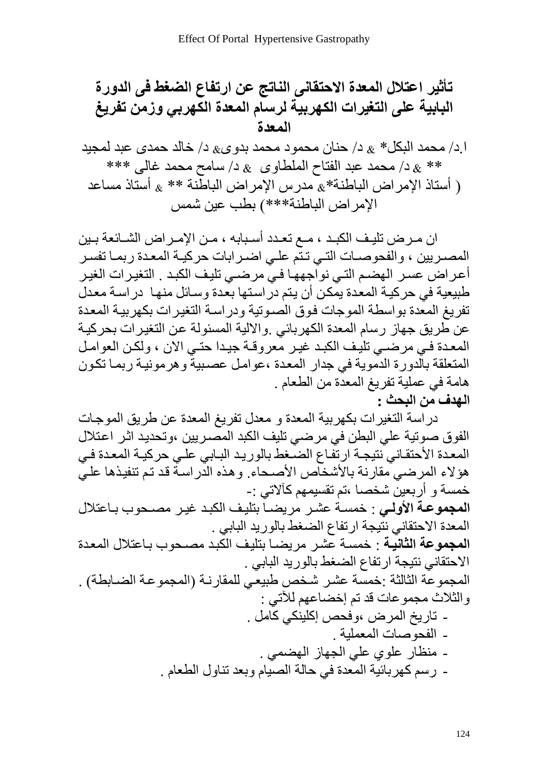تأثير اعتال المعدة الاحتقاني الناتج عن ارتفاع الضغط في الدورق  
البابية على التغيرات الكهريية لرسام المعدة الكهربي وزمن تفريغ  
|\د/ محمد البكل\* 
$$
8 - 1
$$
 حنان محمود محمد بدوى $8 - 1$  خالد حمدى عبد لمجيد  
\*\*  $8 - 1$  محمد عبد الفتاح الملطاوى  $8 - 1$  سامح محمد غالي \*\*\*  
( أستان الإمراض الباطنة\* $3$  مدرس الإمراض الباطنة \*\* $3$  أستان مساعد  
الامراض الباطنة\* $3$  مدرس الإمراض الباطنة \*\*  $3$  أستان مساعد

ان مرض تليف الكبد ، مـع تعـدد أسـبابه ، مـن الإمـراض الشـائعة بـين المصريين ، والفحوصــات التــي تـتّم علــي اضـرابات حركيــة المعـدة ربمــا تفسـر أعراض عسر الهضم التي نواجهها في مرضـي تلبِف الكبد . التغيرات الغير طبيعية في حركية المعدة يمكن أن يتم در استها بعدة وسائل منها ۖ در اسة معدل تفريغ المعدة بواسطة الموجات فوق الصوتية ودراسة التغيرات بكهربية المعدة عن طريق جهاز رسام المعدة الكهربائي ¸والالية المسئولة عن التغيرات بحركية المعدة في مرضي تليف الكبد غير معروفة جيدا حتى الان ، ولكن العوامل المتعلقة بالدورة الدّموية في جدار المعدة ،عوامل عصبيةٌ وهرمونيـة ربمـا تكون هامة في عملية تفريغ المعدة من الطعام . **الهدف من البحث :**

دراسة التغيرات بكهربية المعدة و معدل تفريغ المعدة عن طريق الموجات الفوق صوتية علي البطن في مرضي تليف الكبد المصريين ،وتحديد اثر اعتلال المعدة الأحتقـاني ّنتيجــة ارتفّـاع الضّـغط بالوريـد البـابي علـي حركيــة المعدة فـي هؤلاء المرضى مقارنة بالأشخاص الأصحاء. وهذه الدراسة قد تم تنفيذها على خمسة و أربعين شخصـا ،تم تقسيمـهم كـآلاتـي :-ا**لمجموعة الأولى** : خمسة عشر مريضـا بتليف الكبد غيـر مصـحوب بـاعتلال المعدة الاحتقاني نتيجة ارتفاع الضغط بالوريد البابي . ا**لمجموعة الثانية** : خمسة عشر ً مر يضياً بتليف الكبد مصبحو ب باعتلال المعدة الاحتقاني نتيجة ارتفاع الضغط بالوريد البابي . المجموعة الثالثة :خمسة عشر شخص طبيعي للمقارنـة (المجموعـة الضــابطـة) . والثلاث مجموعات قد تم إخضباعهم للآتي : ـ تاريخ المرض ،وفحص إكلينكي كّامل . - الفحوصات المعملية . - منظار علوي على الجهاز الهضمي . - رسم كهربِائية المعدة في حالة الصيام وبعد تناول الطعام .